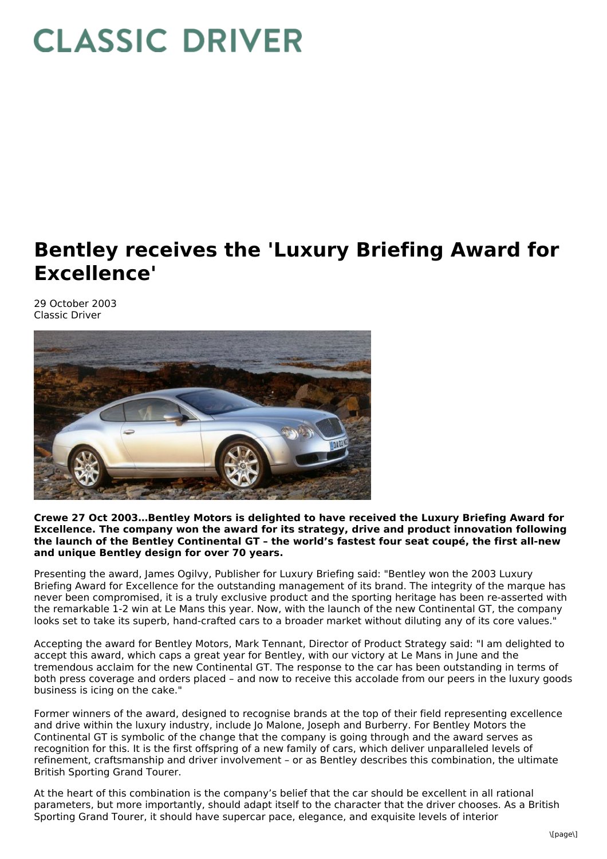## **CLASSIC DRIVER**

## **Bentley receives the 'Luxury Briefing Award for Excellence'**

29 October 2003 Classic Driver



**Crewe 27 Oct 2003…Bentley Motors is delighted to have received the Luxury Briefing Award for Excellence. The company won the award for its strategy, drive and product innovation following the launch of the Bentley Continental GT – the world's fastest four seat coupé, the first all-new and unique Bentley design for over 70 years.**

Presenting the award, James Ogilvy, Publisher for Luxury Briefing said: "Bentley won the 2003 Luxury Briefing Award for Excellence for the outstanding management of its brand. The integrity of the marque has never been compromised, it is a truly exclusive product and the sporting heritage has been re-asserted with the remarkable 1-2 win at Le Mans this year. Now, with the launch of the new Continental GT, the company looks set to take its superb, hand-crafted cars to a broader market without diluting any of its core values."

Accepting the award for Bentley Motors, Mark Tennant, Director of Product Strategy said: "I am delighted to accept this award, which caps a great year for Bentley, with our victory at Le Mans in June and the tremendous acclaim for the new Continental GT. The response to the car has been outstanding in terms of both press coverage and orders placed – and now to receive this accolade from our peers in the luxury goods business is icing on the cake."

Former winners of the award, designed to recognise brands at the top of their field representing excellence and drive within the luxury industry, include Jo Malone, Joseph and Burberry. For Bentley Motors the Continental GT is symbolic of the change that the company is going through and the award serves as recognition for this. It is the first offspring of a new family of cars, which deliver unparalleled levels of refinement, craftsmanship and driver involvement – or as Bentley describes this combination, the ultimate British Sporting Grand Tourer.

At the heart of this combination is the company's belief that the car should be excellent in all rational parameters, but more importantly, should adapt itself to the character that the driver chooses. As a British Sporting Grand Tourer, it should have supercar pace, elegance, and exquisite levels of interior